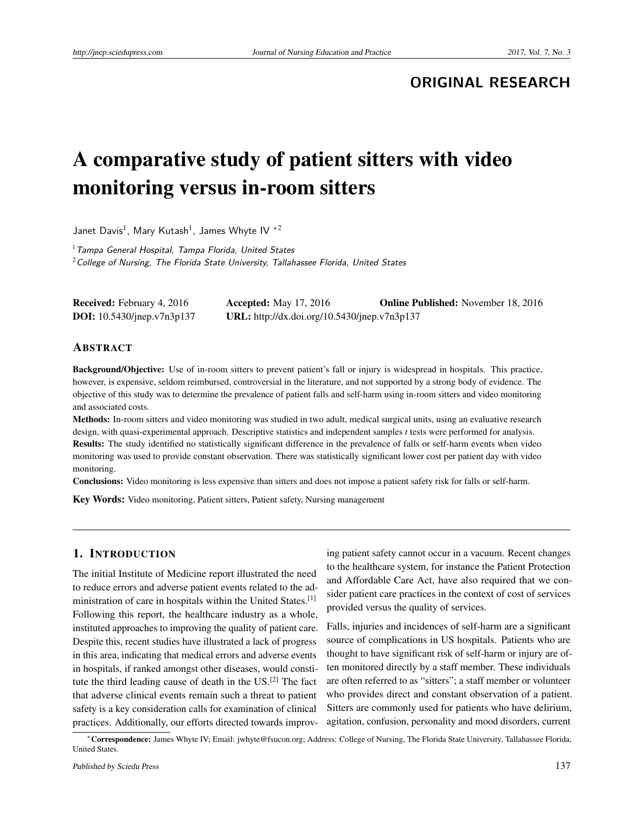**ORIGINAL RESEARCH**

# A comparative study of patient sitters with video monitoring versus in-room sitters

Janet Davis $^1$ , Mary Kutash $^1$ , James Whyte IV  $^{\ast 2}$ 

 $1$ Tampa General Hospital, Tampa Florida, United States  $2$ College of Nursing, The Florida State University, Tallahassee Florida, United States

| <b>Received:</b> February 4, 2016 | <b>Accepted:</b> May 17, 2016                | <b>Online Published:</b> November 18, 2016 |
|-----------------------------------|----------------------------------------------|--------------------------------------------|
| <b>DOI:</b> 10.5430/jnep.v7n3p137 | URL: http://dx.doi.org/10.5430/jnep.v7n3p137 |                                            |

#### ABSTRACT

Background/Objective: Use of in-room sitters to prevent patient's fall or injury is widespread in hospitals. This practice, however, is expensive, seldom reimbursed, controversial in the literature, and not supported by a strong body of evidence. The objective of this study was to determine the prevalence of patient falls and self-harm using in-room sitters and video monitoring and associated costs.

Methods: In-room sitters and video monitoring was studied in two adult, medical surgical units, using an evaluative research design, with quasi-experimental approach. Descriptive statistics and independent samples *t* tests were performed for analysis. Results: The study identified no statistically significant difference in the prevalence of falls or self-harm events when video monitoring was used to provide constant observation. There was statistically significant lower cost per patient day with video monitoring.

Conclusions: Video monitoring is less expensive than sitters and does not impose a patient safety risk for falls or self-harm.

Key Words: Video monitoring, Patient sitters, Patient safety, Nursing management

## 1. INTRODUCTION

The initial Institute of Medicine report illustrated the need to reduce errors and adverse patient events related to the administration of care in hospitals within the United States.[\[1\]](#page-5-0) Following this report, the healthcare industry as a whole, instituted approaches to improving the quality of patient care. Despite this, recent studies have illustrated a lack of progress in this area, indicating that medical errors and adverse events in hospitals, if ranked amongst other diseases, would constitute the third leading cause of death in the US.[\[2\]](#page-5-1) The fact that adverse clinical events remain such a threat to patient safety is a key consideration calls for examination of clinical practices. Additionally, our efforts directed towards improv-

ing patient safety cannot occur in a vacuum. Recent changes to the healthcare system, for instance the Patient Protection and Affordable Care Act, have also required that we consider patient care practices in the context of cost of services provided versus the quality of services.

Falls, injuries and incidences of self-harm are a significant source of complications in US hospitals. Patients who are thought to have significant risk of self-harm or injury are often monitored directly by a staff member. These individuals are often referred to as "sitters"; a staff member or volunteer who provides direct and constant observation of a patient. Sitters are commonly used for patients who have delirium, agitation, confusion, personality and mood disorders, current

<sup>∗</sup>Correspondence: James Whyte IV; Email: jwhyte@fsucon.org; Address: College of Nursing, The Florida State University, Tallahassee Florida, United States.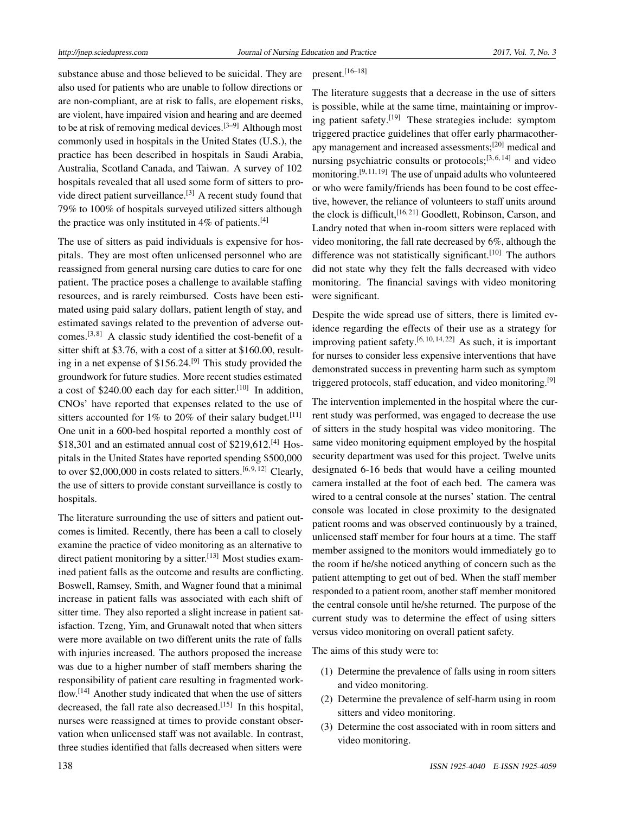substance abuse and those believed to be suicidal. They are also used for patients who are unable to follow directions or are non-compliant, are at risk to falls, are elopement risks, are violent, have impaired vision and hearing and are deemed to be at risk of removing medical devices.<sup>[\[3](#page-5-2)[–9\]](#page-5-3)</sup> Although most commonly used in hospitals in the United States (U.S.), the practice has been described in hospitals in Saudi Arabia, Australia, Scotland Canada, and Taiwan. A survey of 102 hospitals revealed that all used some form of sitters to pro-vide direct patient surveillance.<sup>[\[3\]](#page-5-2)</sup> A recent study found that 79% to 100% of hospitals surveyed utilized sitters although the practice was only instituted in  $4\%$  of patients.<sup>[\[4\]](#page-5-4)</sup>

The use of sitters as paid individuals is expensive for hospitals. They are most often unlicensed personnel who are reassigned from general nursing care duties to care for one patient. The practice poses a challenge to available staffing resources, and is rarely reimbursed. Costs have been estimated using paid salary dollars, patient length of stay, and estimated savings related to the prevention of adverse out-comes.<sup>[\[3,](#page-5-2)[8\]](#page-5-5)</sup> A classic study identified the cost-benefit of a sitter shift at \$3.76, with a cost of a sitter at \$160.00, resulting in a net expense of  $$156.24<sup>[9]</sup>$  $$156.24<sup>[9]</sup>$  $$156.24<sup>[9]</sup>$  This study provided the groundwork for future studies. More recent studies estimated a cost of \$240.00 each day for each sitter.<sup>[\[10\]](#page-5-6)</sup> In addition, CNOs' have reported that expenses related to the use of sitters accounted for 1% to 20% of their salary budget.<sup>[\[11\]](#page-5-7)</sup> One unit in a 600-bed hospital reported a monthly cost of  $$18,301$  and an estimated annual cost of  $$219,612$ .<sup>[\[4\]](#page-5-4)</sup> Hospitals in the United States have reported spending \$500,000 to over \$2,000,000 in costs related to sitters.<sup>[\[6,](#page-5-8)[9,](#page-5-3)[12\]](#page-5-9)</sup> Clearly, the use of sitters to provide constant surveillance is costly to hospitals.

The literature surrounding the use of sitters and patient outcomes is limited. Recently, there has been a call to closely examine the practice of video monitoring as an alternative to direct patient monitoring by a sitter.  $[13]$  Most studies examined patient falls as the outcome and results are conflicting. Boswell, Ramsey, Smith, and Wagner found that a minimal increase in patient falls was associated with each shift of sitter time. They also reported a slight increase in patient satisfaction. Tzeng, Yim, and Grunawalt noted that when sitters were more available on two different units the rate of falls with injuries increased. The authors proposed the increase was due to a higher number of staff members sharing the responsibility of patient care resulting in fragmented work-flow.<sup>[\[14\]](#page-5-11)</sup> Another study indicated that when the use of sitters decreased, the fall rate also decreased.<sup>[\[15\]](#page-5-12)</sup> In this hospital, nurses were reassigned at times to provide constant observation when unlicensed staff was not available. In contrast, three studies identified that falls decreased when sitters were

# present.<sup>[\[16–](#page-5-13)[18\]](#page-5-14)</sup>

The literature suggests that a decrease in the use of sitters is possible, while at the same time, maintaining or improving patient safety.[\[19\]](#page-5-15) These strategies include: symptom triggered practice guidelines that offer early pharmacotherapy management and increased assessments;[\[20\]](#page-5-16) medical and nursing psychiatric consults or protocols;<sup>[\[3,](#page-5-2)[6,](#page-5-8)[14\]](#page-5-11)</sup> and video monitoring.<sup>[\[9,](#page-5-3) [11,](#page-5-7) [19\]](#page-5-15)</sup> The use of unpaid adults who volunteered or who were family/friends has been found to be cost effective, however, the reliance of volunteers to staff units around the clock is difficult,<sup>[\[16,](#page-5-13) [21\]](#page-5-17)</sup> Goodlett, Robinson, Carson, and Landry noted that when in-room sitters were replaced with video monitoring, the fall rate decreased by 6%, although the difference was not statistically significant.<sup>[\[10\]](#page-5-6)</sup> The authors did not state why they felt the falls decreased with video monitoring. The financial savings with video monitoring were significant.

Despite the wide spread use of sitters, there is limited evidence regarding the effects of their use as a strategy for improving patient safety.[\[6,](#page-5-8) [10,](#page-5-6) [14,](#page-5-11) [22\]](#page-5-18) As such, it is important for nurses to consider less expensive interventions that have demonstrated success in preventing harm such as symptom triggered protocols, staff education, and video monitoring.<sup>[\[9\]](#page-5-3)</sup>

The intervention implemented in the hospital where the current study was performed, was engaged to decrease the use of sitters in the study hospital was video monitoring. The same video monitoring equipment employed by the hospital security department was used for this project. Twelve units designated 6-16 beds that would have a ceiling mounted camera installed at the foot of each bed. The camera was wired to a central console at the nurses' station. The central console was located in close proximity to the designated patient rooms and was observed continuously by a trained, unlicensed staff member for four hours at a time. The staff member assigned to the monitors would immediately go to the room if he/she noticed anything of concern such as the patient attempting to get out of bed. When the staff member responded to a patient room, another staff member monitored the central console until he/she returned. The purpose of the current study was to determine the effect of using sitters versus video monitoring on overall patient safety.

The aims of this study were to:

- (1) Determine the prevalence of falls using in room sitters and video monitoring.
- (2) Determine the prevalence of self-harm using in room sitters and video monitoring.
- (3) Determine the cost associated with in room sitters and video monitoring.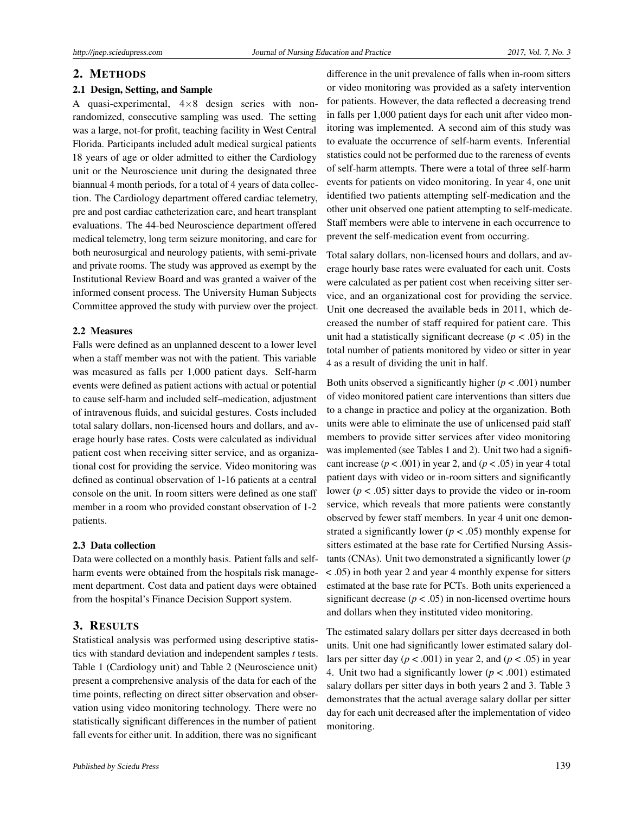#### 2. METHODS

### 2.1 Design, Setting, and Sample

A quasi-experimental,  $4 \times 8$  design series with nonrandomized, consecutive sampling was used. The setting was a large, not-for profit, teaching facility in West Central Florida. Participants included adult medical surgical patients 18 years of age or older admitted to either the Cardiology unit or the Neuroscience unit during the designated three biannual 4 month periods, for a total of 4 years of data collection. The Cardiology department offered cardiac telemetry, pre and post cardiac catheterization care, and heart transplant evaluations. The 44-bed Neuroscience department offered medical telemetry, long term seizure monitoring, and care for both neurosurgical and neurology patients, with semi-private and private rooms. The study was approved as exempt by the Institutional Review Board and was granted a waiver of the informed consent process. The University Human Subjects Committee approved the study with purview over the project.

#### 2.2 Measures

Falls were defined as an unplanned descent to a lower level when a staff member was not with the patient. This variable was measured as falls per 1,000 patient days. Self-harm events were defined as patient actions with actual or potential to cause self-harm and included self–medication, adjustment of intravenous fluids, and suicidal gestures. Costs included total salary dollars, non-licensed hours and dollars, and average hourly base rates. Costs were calculated as individual patient cost when receiving sitter service, and as organizational cost for providing the service. Video monitoring was defined as continual observation of 1-16 patients at a central console on the unit. In room sitters were defined as one staff member in a room who provided constant observation of 1-2 patients.

#### 2.3 Data collection

Data were collected on a monthly basis. Patient falls and selfharm events were obtained from the hospitals risk management department. Cost data and patient days were obtained from the hospital's Finance Decision Support system.

## 3. RESULTS

Statistical analysis was performed using descriptive statistics with standard deviation and independent samples *t* tests. Table 1 (Cardiology unit) and Table 2 (Neuroscience unit) present a comprehensive analysis of the data for each of the time points, reflecting on direct sitter observation and observation using video monitoring technology. There were no statistically significant differences in the number of patient fall events for either unit. In addition, there was no significant

difference in the unit prevalence of falls when in-room sitters or video monitoring was provided as a safety intervention for patients. However, the data reflected a decreasing trend in falls per 1,000 patient days for each unit after video monitoring was implemented. A second aim of this study was to evaluate the occurrence of self-harm events. Inferential statistics could not be performed due to the rareness of events of self-harm attempts. There were a total of three self-harm events for patients on video monitoring. In year 4, one unit identified two patients attempting self-medication and the other unit observed one patient attempting to self-medicate. Staff members were able to intervene in each occurrence to prevent the self-medication event from occurring.

Total salary dollars, non-licensed hours and dollars, and average hourly base rates were evaluated for each unit. Costs were calculated as per patient cost when receiving sitter service, and an organizational cost for providing the service. Unit one decreased the available beds in 2011, which decreased the number of staff required for patient care. This unit had a statistically significant decrease  $(p < .05)$  in the total number of patients monitored by video or sitter in year 4 as a result of dividing the unit in half.

Both units observed a significantly higher  $(p < .001)$  number of video monitored patient care interventions than sitters due to a change in practice and policy at the organization. Both units were able to eliminate the use of unlicensed paid staff members to provide sitter services after video monitoring was implemented (see Tables 1 and 2). Unit two had a significant increase ( $p < .001$ ) in year 2, and ( $p < .05$ ) in year 4 total patient days with video or in-room sitters and significantly lower ( $p < .05$ ) sitter days to provide the video or in-room service, which reveals that more patients were constantly observed by fewer staff members. In year 4 unit one demonstrated a significantly lower ( $p < .05$ ) monthly expense for sitters estimated at the base rate for Certified Nursing Assistants (CNAs). Unit two demonstrated a significantly lower (*p* < .05) in both year 2 and year 4 monthly expense for sitters estimated at the base rate for PCTs. Both units experienced a significant decrease  $(p < .05)$  in non-licensed overtime hours and dollars when they instituted video monitoring.

The estimated salary dollars per sitter days decreased in both units. Unit one had significantly lower estimated salary dollars per sitter day ( $p < .001$ ) in year 2, and ( $p < .05$ ) in year 4. Unit two had a significantly lower ( $p < .001$ ) estimated salary dollars per sitter days in both years 2 and 3. Table 3 demonstrates that the actual average salary dollar per sitter day for each unit decreased after the implementation of video monitoring.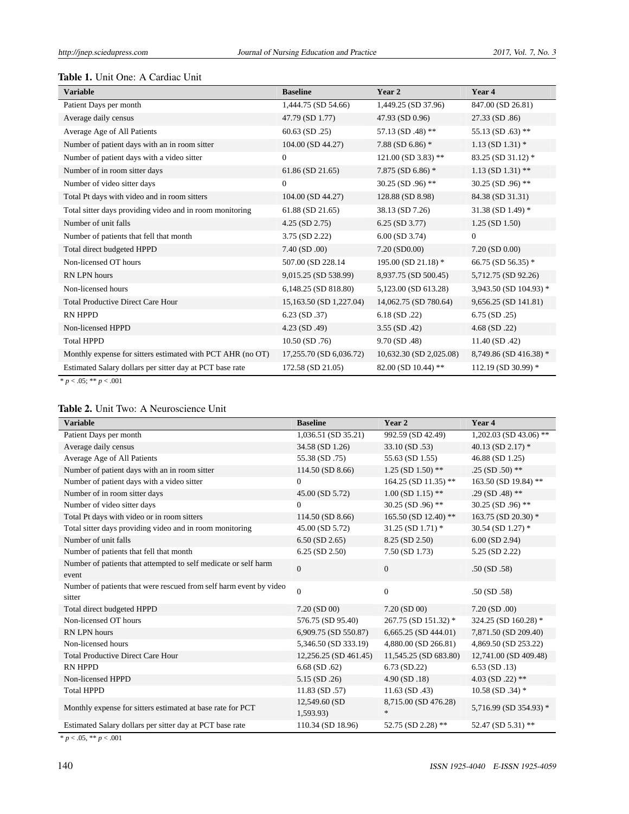## Table 1. Unit One: A Cardiac Unit

| <b>Variable</b>                                            | <b>Baseline</b>         | Year 2                  | Year 4                 |
|------------------------------------------------------------|-------------------------|-------------------------|------------------------|
| Patient Days per month                                     | 1,444.75 (SD 54.66)     | 1,449.25 (SD 37.96)     | 847.00 (SD 26.81)      |
| Average daily census                                       | 47.79 (SD 1.77)         | 47.93 (SD 0.96)         | 27.33 (SD .86)         |
| Average Age of All Patients                                | $60.63$ (SD $.25$ )     | 57.13 (SD .48) **       | 55.13 (SD $.63$ ) **   |
| Number of patient days with an in room sitter              | 104.00 (SD 44.27)       | 7.88 (SD 6.86) $*$      | $1.13$ (SD $1.31$ ) *  |
| Number of patient days with a video sitter                 | $\mathbf{0}$            | $121.00$ (SD 3.83) **   | 83.25 (SD 31.12) *     |
| Number of in room sitter days                              | 61.86 (SD 21.65)        | 7.875 (SD 6.86) $*$     | $1.13$ (SD $1.31$ ) ** |
| Number of video sitter days                                | $\theta$                | 30.25 (SD .96) **       | 30.25 (SD .96) **      |
| Total Pt days with video and in room sitters               | 104.00 (SD 44.27)       | 128.88 (SD 8.98)        | 84.38 (SD 31.31)       |
| Total sitter days providing video and in room monitoring   | 61.88 (SD 21.65)        | 38.13 (SD 7.26)         | 31.38 (SD 1.49) $*$    |
| Number of unit falls                                       | $4.25$ (SD $2.75$ )     | $6.25$ (SD 3.77)        | $1.25$ (SD $1.50$ )    |
| Number of patients that fell that month                    | 3.75 (SD 2.22)          | $6.00$ (SD 3.74)        | $\mathbf{0}$           |
| Total direct budgeted HPPD                                 | $7.40$ (SD $.00$ )      | 7.20 (SD0.00)           | $7.20$ (SD $0.00$ )    |
| Non-licensed OT hours                                      | 507.00 (SD 228.14)      | 195.00 (SD 21.18) *     | 66.75 (SD 56.35) $*$   |
| RN LPN hours                                               | 9,015.25 (SD 538.99)    | 8,937.75 (SD 500.45)    | 5,712.75 (SD 92.26)    |
| Non-licensed hours                                         | 6,148.25 (SD 818.80)    | 5,123.00 (SD 613.28)    | 3,943.50 (SD 104.93) * |
| <b>Total Productive Direct Care Hour</b>                   | 15,163.50 (SD 1,227.04) | 14,062.75 (SD 780.64)   | 9,656.25 (SD 141.81)   |
| <b>RN HPPD</b>                                             | $6.23$ (SD $.37$ )      | 6.18 (SD .22)           | $6.75$ (SD $.25$ )     |
| Non-licensed HPPD                                          | $4.23$ (SD .49)         | $3.55$ (SD .42)         | $4.68$ (SD .22)        |
| <b>Total HPPD</b>                                          | $10.50$ (SD $.76$ )     | 9.70 (SD .48)           | $11.40$ (SD .42)       |
| Monthly expense for sitters estimated with PCT AHR (no OT) | 17,255.70 (SD 6,036.72) | 10,632.30 (SD 2,025.08) | 8,749.86 (SD 416.38) * |
| Estimated Salary dollars per sitter day at PCT base rate   | 172.58 (SD 21.05)       | 82.00 (SD 10.44) **     | 112.19 (SD 30.99) *    |

 $* p < .05; ** p < .001$ 

## Table 2. Unit Two: A Neuroscience Unit

| <b>Variable</b>                                                              | <b>Baseline</b>            | Year 2                         | Year 4                 |
|------------------------------------------------------------------------------|----------------------------|--------------------------------|------------------------|
| Patient Days per month                                                       | 1,036.51 (SD 35.21)        | 992.59 (SD 42.49)              | 1,202.03 (SD 43.06) ** |
| Average daily census                                                         | 34.58 (SD 1.26)            | 33.10 (SD .53)                 | 40.13 (SD 2.17) $*$    |
| Average Age of All Patients                                                  | 55.38 (SD .75)             | 55.63 (SD 1.55)                | 46.88 (SD 1.25)        |
| Number of patient days with an in room sitter                                | 114.50 (SD 8.66)           | $1.25$ (SD $1.50$ ) **         | $.25$ (SD $.50$ ) **   |
| Number of patient days with a video sitter                                   | $\overline{0}$             | 164.25 (SD 11.35) **           | 163.50 (SD 19.84) **   |
| Number of in room sitter days                                                | 45.00 (SD 5.72)            | $1.00$ (SD $1.15$ ) **         | .29 (SD .48) **        |
| Number of video sitter days                                                  | $\overline{0}$             | 30.25 (SD .96) **              | 30.25 (SD .96) **      |
| Total Pt days with video or in room sitters                                  | 114.50 (SD 8.66)           | 165.50 (SD 12.40) **           | 163.75 (SD 20.30) *    |
| Total sitter days providing video and in room monitoring                     | 45.00 (SD 5.72)            | $31.25$ (SD 1.71) *            | 30.54 (SD 1.27) *      |
| Number of unit falls                                                         | $6.50$ (SD 2.65)           | 8.25 (SD 2.50)                 | $6.00$ (SD 2.94)       |
| Number of patients that fell that month                                      | $6.25$ (SD $2.50$ )        | $7.50$ (SD 1.73)               | 5.25 (SD 2.22)         |
| Number of patients that attempted to self medicate or self harm<br>event     | $\mathbf{0}$               | $\overline{0}$                 | .50(SD.58)             |
| Number of patients that were rescued from self harm event by video<br>sitter | $\mathbf{0}$               | $\overline{0}$                 | .50(SD.58)             |
| Total direct budgeted HPPD                                                   | $7.20$ (SD 00)             | $7.20$ (SD 00)                 | $7.20$ (SD $.00$ )     |
| Non-licensed OT hours                                                        | 576.75 (SD 95.40)          | 267.75 (SD 151.32) *           | 324.25 (SD 160.28) *   |
| RN LPN hours                                                                 | 6,909.75 (SD 550.87)       | 6,665.25 (SD 444.01)           | 7,871.50 (SD 209.40)   |
| Non-licensed hours                                                           | 5,346.50 (SD 333.19)       | 4,880.00 (SD 266.81)           | 4,869.50 (SD 253.22)   |
| <b>Total Productive Direct Care Hour</b>                                     | 12,256.25 (SD 461.45)      | 11,545.25 (SD 683.80)          | 12,741.00 (SD 409.48)  |
| <b>RN HPPD</b>                                                               | $6.68$ (SD $.62$ )         | $6.73$ (SD.22)                 | $6.53$ (SD .13)        |
| Non-licensed HPPD                                                            | $5.15$ (SD $.26$ )         | 4.90(SD.18)                    | 4.03 (SD .22) **       |
| <b>Total HPPD</b>                                                            | $11.83$ (SD .57)           | $11.63$ (SD .43)               | $10.58$ (SD .34) $*$   |
| Monthly expense for sitters estimated at base rate for PCT                   | 12,549.60 (SD<br>1,593.93) | 8,715.00 (SD 476.28)<br>$\ast$ | 5,716.99 (SD 354.93) * |
| Estimated Salary dollars per sitter day at PCT base rate                     | 110.34 (SD 18.96)          | 52.75 (SD 2.28) **             | 52.47 (SD 5.31) **     |

 $* p < .05, ** p < .001$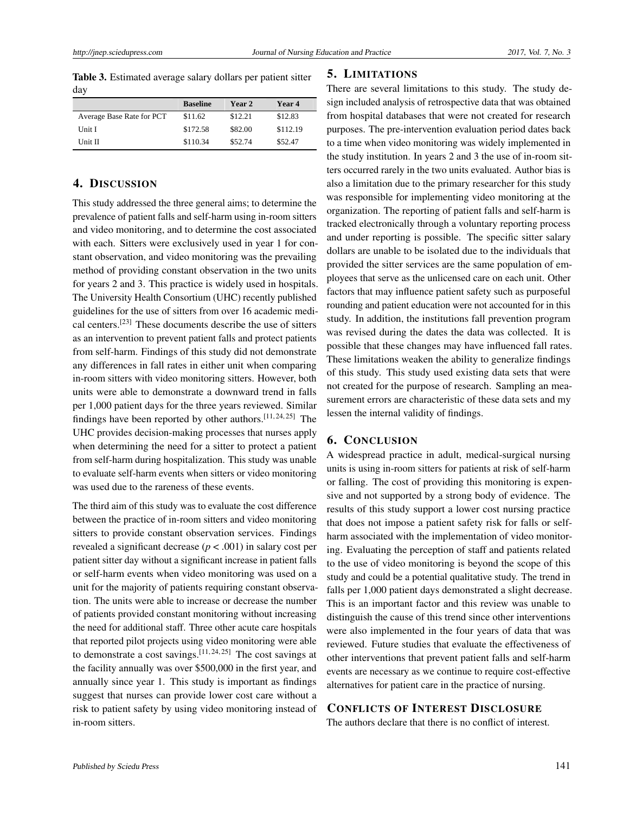Table 3. Estimated average salary dollars per patient sitter day

|                           | <b>Baseline</b> | Year 2  | Year 4   |
|---------------------------|-----------------|---------|----------|
| Average Base Rate for PCT | \$11.62         | \$12.21 | \$12.83  |
| Unit I                    | \$172.58        | \$82.00 | \$112.19 |
| Unit II                   | \$110.34        | \$52.74 | \$52.47  |

# 4. DISCUSSION

This study addressed the three general aims; to determine the prevalence of patient falls and self-harm using in-room sitters and video monitoring, and to determine the cost associated with each. Sitters were exclusively used in year 1 for constant observation, and video monitoring was the prevailing method of providing constant observation in the two units for years 2 and 3. This practice is widely used in hospitals. The University Health Consortium (UHC) recently published guidelines for the use of sitters from over 16 academic medical centers.[\[23\]](#page-5-19) These documents describe the use of sitters as an intervention to prevent patient falls and protect patients from self-harm. Findings of this study did not demonstrate any differences in fall rates in either unit when comparing in-room sitters with video monitoring sitters. However, both units were able to demonstrate a downward trend in falls per 1,000 patient days for the three years reviewed. Similar findings have been reported by other authors.[\[11,](#page-5-7) [24,](#page-5-20) [25\]](#page-5-21) The UHC provides decision-making processes that nurses apply when determining the need for a sitter to protect a patient from self-harm during hospitalization. This study was unable to evaluate self-harm events when sitters or video monitoring was used due to the rareness of these events.

The third aim of this study was to evaluate the cost difference between the practice of in-room sitters and video monitoring sitters to provide constant observation services. Findings revealed a significant decrease (*p* < .001) in salary cost per patient sitter day without a significant increase in patient falls or self-harm events when video monitoring was used on a unit for the majority of patients requiring constant observation. The units were able to increase or decrease the number of patients provided constant monitoring without increasing the need for additional staff. Three other acute care hospitals that reported pilot projects using video monitoring were able to demonstrate a cost savings.<sup>[\[11,](#page-5-7) [24,](#page-5-20) [25\]](#page-5-21)</sup> The cost savings at the facility annually was over \$500,000 in the first year, and annually since year 1. This study is important as findings suggest that nurses can provide lower cost care without a risk to patient safety by using video monitoring instead of in-room sitters.

## 5. LIMITATIONS

There are several limitations to this study. The study design included analysis of retrospective data that was obtained from hospital databases that were not created for research purposes. The pre-intervention evaluation period dates back to a time when video monitoring was widely implemented in the study institution. In years 2 and 3 the use of in-room sitters occurred rarely in the two units evaluated. Author bias is also a limitation due to the primary researcher for this study was responsible for implementing video monitoring at the organization. The reporting of patient falls and self-harm is tracked electronically through a voluntary reporting process and under reporting is possible. The specific sitter salary dollars are unable to be isolated due to the individuals that provided the sitter services are the same population of employees that serve as the unlicensed care on each unit. Other factors that may influence patient safety such as purposeful rounding and patient education were not accounted for in this study. In addition, the institutions fall prevention program was revised during the dates the data was collected. It is possible that these changes may have influenced fall rates. These limitations weaken the ability to generalize findings of this study. This study used existing data sets that were not created for the purpose of research. Sampling an measurement errors are characteristic of these data sets and my lessen the internal validity of findings.

# 6. CONCLUSION

A widespread practice in adult, medical-surgical nursing units is using in-room sitters for patients at risk of self-harm or falling. The cost of providing this monitoring is expensive and not supported by a strong body of evidence. The results of this study support a lower cost nursing practice that does not impose a patient safety risk for falls or selfharm associated with the implementation of video monitoring. Evaluating the perception of staff and patients related to the use of video monitoring is beyond the scope of this study and could be a potential qualitative study. The trend in falls per 1,000 patient days demonstrated a slight decrease. This is an important factor and this review was unable to distinguish the cause of this trend since other interventions were also implemented in the four years of data that was reviewed. Future studies that evaluate the effectiveness of other interventions that prevent patient falls and self-harm events are necessary as we continue to require cost-effective alternatives for patient care in the practice of nursing.

## CONFLICTS OF INTEREST DISCLOSURE

The authors declare that there is no conflict of interest.